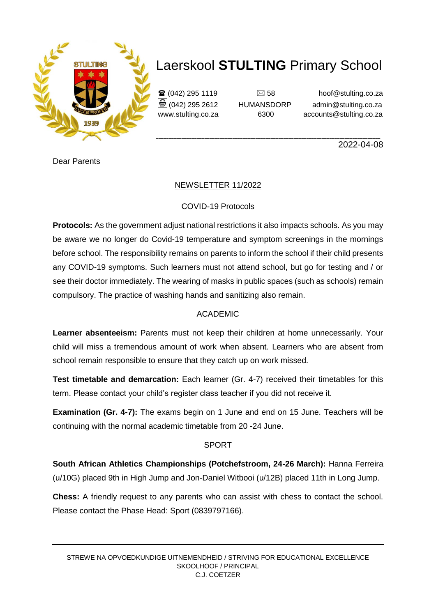

# Laerskool **STULTING** Primary School

 $\mathbf{\widehat{a}}$  (042) 295 1119  $\Box$  58 hoof@stulting.co.za  $\bigcirc$  (042) 295 2612 HUMANSDORP admin@stulting.co.za www.stulting.co.za 6300 accounts@stulting.co.za

**\_\_\_\_\_\_\_\_\_\_\_\_\_\_\_\_\_\_\_\_\_\_\_\_\_\_\_\_\_\_\_\_\_\_\_\_\_\_\_\_\_\_\_\_\_\_\_\_\_\_\_\_\_\_\_\_\_\_\_\_\_\_\_\_\_\_\_\_\_\_\_\_\_\_\_\_\_\_\_\_\_\_\_\_\_\_\_\_** 2022-04-08

Dear Parents

#### NEWSLETTER 11/2022

#### COVID-19 Protocols

**Protocols:** As the government adjust national restrictions it also impacts schools. As you may be aware we no longer do Covid-19 temperature and symptom screenings in the mornings before school. The responsibility remains on parents to inform the school if their child presents any COVID-19 symptoms. Such learners must not attend school, but go for testing and / or see their doctor immediately. The wearing of masks in public spaces (such as schools) remain compulsory. The practice of washing hands and sanitizing also remain.

## ACADEMIC

**Learner absenteeism:** Parents must not keep their children at home unnecessarily. Your child will miss a tremendous amount of work when absent. Learners who are absent from school remain responsible to ensure that they catch up on work missed.

**Test timetable and demarcation:** Each learner (Gr. 4-7) received their timetables for this term. Please contact your child's register class teacher if you did not receive it.

**Examination (Gr. 4-7):** The exams begin on 1 June and end on 15 June. Teachers will be continuing with the normal academic timetable from 20 -24 June.

## SPORT

**South African Athletics Championships (Potchefstroom, 24-26 March):** Hanna Ferreira (u/10G) placed 9th in High Jump and Jon-Daniel Witbooi (u/12B) placed 11th in Long Jump.

**Chess:** A friendly request to any parents who can assist with chess to contact the school. Please contact the Phase Head: Sport (0839797166).